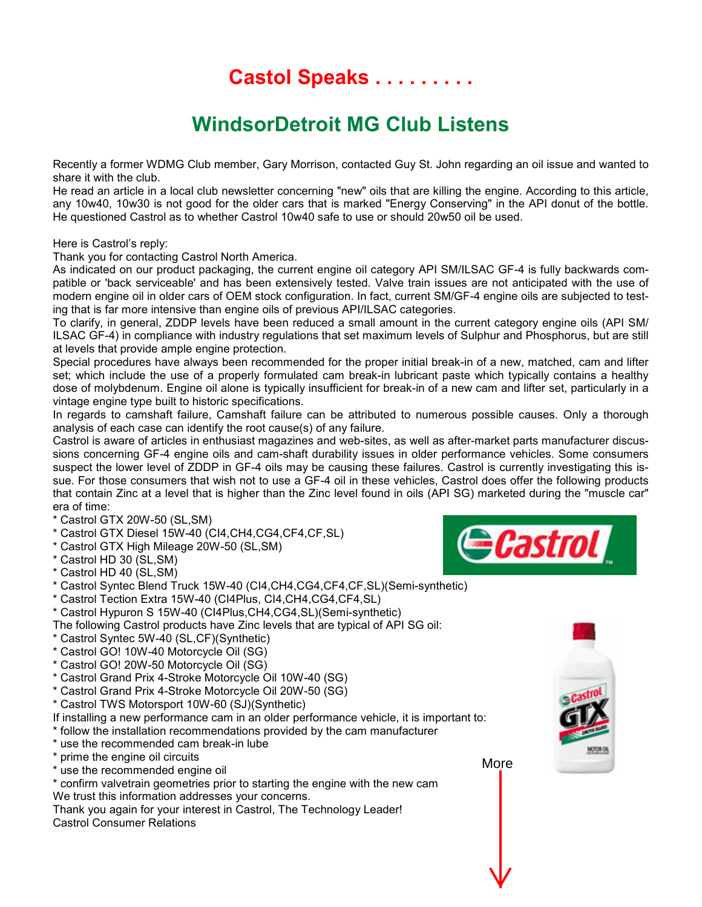Castol Speaks . . . . . .

## WindsorDetroit MG Club Listens

Recently a former WDMG Club member, Gary Morrison, contacted Guy St. John regarding an oil issue and wanted to share it with the club.

He read an article in a local club newsletter concerning "new" oils that are killing the engine. According to this article, any 10w40, 10w30 is not good for the older cars that is marked "Energy Conserving" in the API donut of the bottle. He questioned Castrol as to whether Castrol 10w40 safe to use or should 20w50 oil be used.

Here is Castrol's reply:

Thank you for contacting Castrol North America.

As indicated on our product packaging, the current engine oil category API SM/ILSAC GF-4 is fully backwards compatible or 'back serviceable' and has been extensively tested. Valve train issues are not anticipated with the use of modern engine oil in older cars of OEM stock configuration. In fact, current SM/GF-4 engine oils are subjected to testing that is far more intensive than engine oils of previous API/ILSAC categories.

To clarify, in general, ZDDP levels have been reduced a small amount in the current category engine oils (API SM/ ILSAC GF-4) in compliance with industry regulations that set maximum levels of Sulphur and Phosphorus, but are still at levels that provide ample engine protection.

Special procedures have always been recommended for the proper initial break-in of a new, matched, cam and lifter set; which include the use of a properly formulated cam break-in lubricant paste which typically contains a healthy dose of molybdenum. Engine oil alone is typically insufficient for break-in of a new cam and lifter set, particularly in a vintage engine type built to historic specifications.

In regards to camshaft failure, Camshaft failure can be attributed to numerous possible causes. Only a thorough analysis of each case can identify the root cause(s) of any failure.

Castrol is aware of articles in enthusiast magazines and web-sites, as well as after-market parts manufacturer discussions concerning GF-4 engine oils and cam-shaft durability issues in older performance vehicles. Some consumers suspect the lower level of ZDDP in GF-4 oils may be causing these failures. Castrol is currently investigating this issue. For those consumers that wish not to use a GF-4 oil in these vehicles, Castrol does offer the following products that contain Zinc at a level that is higher than the Zinc level found in oils (API SG) marketed during the "muscle car" era of time:

- \* Castrol GTX 20W-50 (SL,SM)
- \* Castrol GTX Diesel 15W-40 (CI4,CH4,CG4,CF4,CF,SL)
- \* Castrol GTX High Mileage 20W-50 (SL,SM)
- \* Castrol HD 30 (SL,SM)
- \* Castrol HD 40 (SL,SM)



- \* Castrol Syntec Blend Truck 15W-40 (CI4,CH4,CG4,CF4,CF,SL)(Semi-synthetic)
- \* Castrol Tection Extra 15W-40 (CI4Plus, CI4,CH4,CG4,CF4,SL)
- \* Castrol Hypuron S 15W-40 (CI4Plus,CH4,CG4,SL)(Semi-synthetic)
- The following Castrol products have Zinc levels that are typical of API SG oil:
- \* Castrol Syntec 5W-40 (SL,CF)(Synthetic)
- \* Castrol GO! 10W-40 Motorcycle Oil (SG)
- \* Castrol GO! 20W-50 Motorcycle Oil (SG)
- \* Castrol Grand Prix 4-Stroke Motorcycle Oil 10W-40 (SG)
- \* Castrol Grand Prix 4-Stroke Motorcycle Oil 20W-50 (SG)
- \* Castrol TWS Motorsport 10W-60 (SJ)(Synthetic)

If installing a new performance cam in an older performance vehicle, it is important to: \* follow the installation recommendations provided by the cam manufacturer

- \* use the recommended cam break-in lube
- \* prime the engine oil circuits
- \* use the recommended engine oil
- \* confirm valvetrain geometries prior to starting the engine with the new cam We trust this information addresses your concerns.

Thank you again for your interest in Castrol, The Technology Leader! Castrol Consumer Relations

More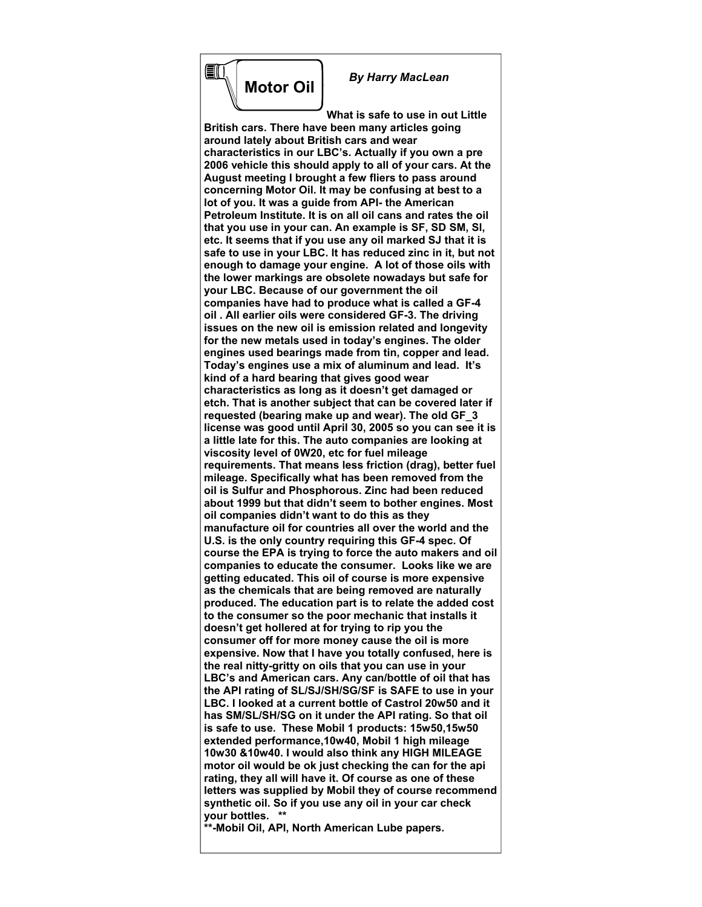

EII

 *By Harry MacLean*

**What is safe to use in out Little British cars. There have been many articles going around lately about British cars and wear characteristics in our LBC's. Actually if you own a pre 2006 vehicle this should apply to all of your cars. At the August meeting I brought a few fliers to pass around concerning Motor Oil. It may be confusing at best to a lot of you. It was a guide from API- the American Petroleum Institute. It is on all oil cans and rates the oil that you use in your can. An example is SF, SD SM, Sl, etc. It seems that if you use any oil marked SJ that it is safe to use in your LBC. It has reduced zinc in it, but not enough to damage your engine. A lot of those oils with the lower markings are obsolete nowadays but safe for your LBC. Because of our government the oil companies have had to produce what is called a GF-4 oil . All earlier oils were considered GF-3. The driving issues on the new oil is emission related and longevity for the new metals used in today's engines. The older engines used bearings made from tin, copper and lead. Today's engines use a mix of aluminum and lead. It's kind of a hard bearing that gives good wear characteristics as long as it doesn't get damaged or etch. That is another subject that can be covered later if requested (bearing make up and wear). The old GF\_3 license was good until April 30, 2005 so you can see it is a little late for this. The auto companies are looking at viscosity level of 0W20, etc for fuel mileage requirements. That means less friction (drag), better fuel mileage. Specifically what has been removed from the oil is Sulfur and Phosphorous. Zinc had been reduced about 1999 but that didn't seem to bother engines. Most oil companies didn't want to do this as they manufacture oil for countries all over the world and the U.S. is the only country requiring this GF-4 spec. Of course the EPA is trying to force the auto makers and oil companies to educate the consumer. Looks like we are getting educated. This oil of course is more expensive as the chemicals that are being removed are naturally produced. The education part is to relate the added cost to the consumer so the poor mechanic that installs it doesn't get hollered at for trying to rip you the consumer off for more money cause the oil is more expensive. Now that I have you totally confused, here is the real nitty-gritty on oils that you can use in your LBC's and American cars. Any can/bottle of oil that has the API rating of SL/SJ/SH/SG/SF is SAFE to use in your LBC. I looked at a current bottle of Castrol 20w50 and it has SM/SL/SH/SG on it under the API rating. So that oil is safe to use. These Mobil 1 products: 15w50,15w50 extended performance,10w40, Mobil 1 high mileage 10w30 &10w40. I would also think any HIGH MILEAGE motor oil would be ok just checking the can for the api rating, they all will have it. Of course as one of these letters was supplied by Mobil they of course recommend synthetic oil. So if you use any oil in your car check your bottles. \*\***

**\*\*-Mobil Oil, API, North American Lube papers.**